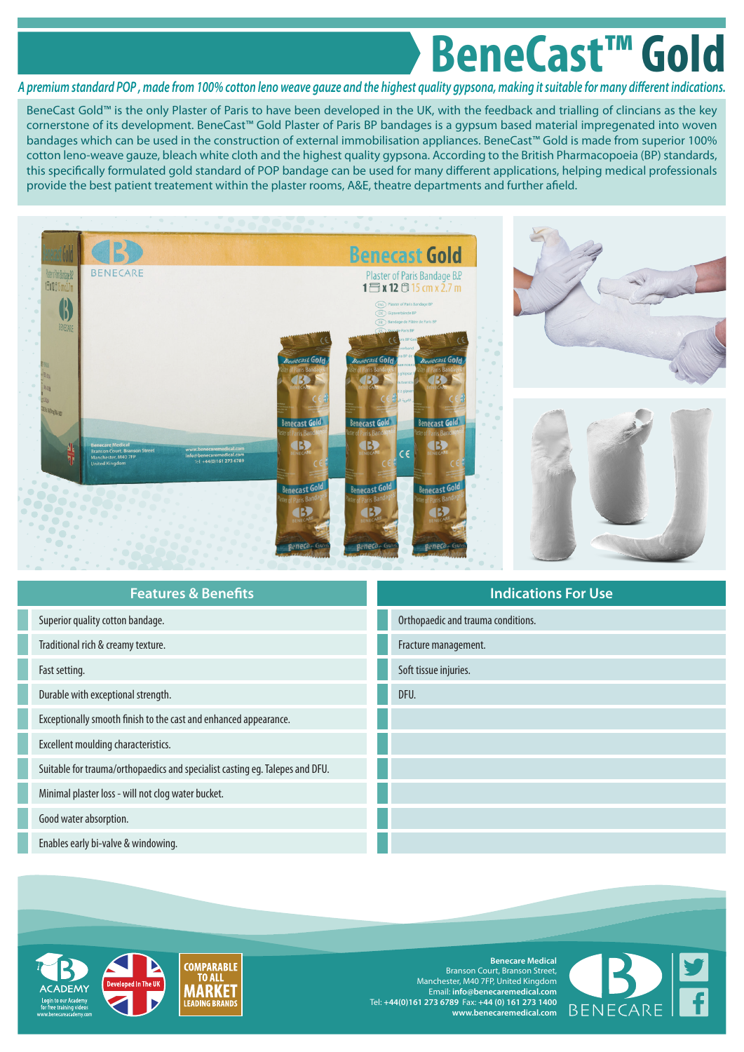## **BeneCast™ Gold**

## *A premium standard POP , made from 100% cotton leno weave gauze and the highest quality gypsona, making it suitable for many different indications.*

BeneCast Gold™ is the only Plaster of Paris to have been developed in the UK, with the feedback and trialling of clincians as the key cornerstone of its development. BeneCast™ Gold Plaster of Paris BP bandages is a gypsum based material impregenated into woven bandages which can be used in the construction of external immobilisation appliances. BeneCast™ Gold is made from superior 100% cotton leno-weave gauze, bleach white cloth and the highest quality gypsona. According to the British Pharmacopoeia (BP) standards, this specifically formulated gold standard of POP bandage can be used for many different applications, helping medical professionals provide the best patient treatement within the plaster rooms, A&E, theatre departments and further afield.



| <b>Features &amp; Benefits</b>                                               | <b>Indications For Use</b>         |
|------------------------------------------------------------------------------|------------------------------------|
| Superior quality cotton bandage.                                             | Orthopaedic and trauma conditions. |
| Traditional rich & creamy texture.                                           | Fracture management.               |
| Fast setting.                                                                | Soft tissue injuries.              |
| Durable with exceptional strength.                                           | DFU.                               |
| Exceptionally smooth finish to the cast and enhanced appearance.             |                                    |
| Excellent moulding characteristics.                                          |                                    |
| Suitable for trauma/orthopaedics and specialist casting eg. Talepes and DFU. |                                    |
| Minimal plaster loss - will not clog water bucket.                           |                                    |
| Good water absorption.                                                       |                                    |
| Enables early bi-valve & windowing.                                          |                                    |



**Benecare Medical** Branson Court, Branson Street, Manchester, M40 7FP, United Kingdom Email: **info@benecaremedical.com** Tel: **+44(0)161 273 6789** Fax: **+44 (0) 161 273 1400 www.benecaremedical.com**